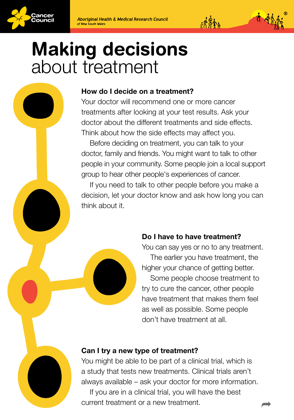



# Making decisions about treatment

### How do I decide on a treatment?

Your doctor will recommend one or more cancer treatments after looking at your test results. Ask your doctor about the different treatments and side effects. Think about how the side effects may affect you.

Before deciding on treatment, you can talk to your doctor, family and friends. You might want to talk to other people in your community. Some people join a local support group to hear other people's experiences of cancer.

If you need to talk to other people before you make a decision, let your doctor know and ask how long you can think about it.

### Do I have to have treatment?

You can say yes or no to any treatment. The earlier you have treatment, the higher your chance of getting better. Some people choose treatment to try to cure the cancer, other people have treatment that makes them feel as well as possible. Some people don't have treatment at all.

### Can I try a new type of treatment?

You might be able to be part of a clinical trial, which is a study that tests new treatments. Clinical trials aren't always available – ask your doctor for more information. If you are in a clinical trial, you will have the best current treatment or a new treatment.